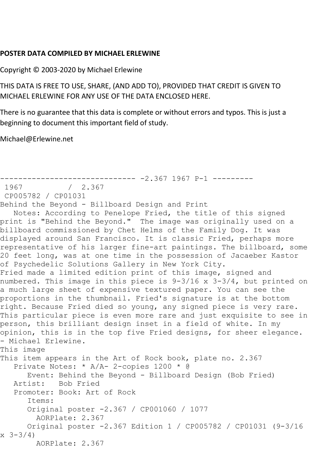## **POSTER DATA COMPILED BY MICHAEL ERLEWINE**

Copyright © 2003-2020 by Michael Erlewine

THIS DATA IS FREE TO USE, SHARE, (AND ADD TO), PROVIDED THAT CREDIT IS GIVEN TO MICHAEL ERLEWINE FOR ANY USE OF THE DATA ENCLOSED HERE.

There is no guarantee that this data is complete or without errors and typos. This is just a beginning to document this important field of study.

Michael@Erlewine.net

```
------------------------------ -2.367 1967 P-1 ---------
              / 2.367CP005782 / CP01031
Behind the Beyond - Billboard Design and Print
   Notes: According to Penelope Fried, the title of this signed 
print is "Behind the Beyond." The image was originally used on a 
billboard commissioned by Chet Helms of the Family Dog. It was 
displayed around San Francisco. It is classic Fried, perhaps more 
representative of his larger fine-art paintings. The billboard, some 
20 feet long, was at one time in the possession of Jacaeber Kastor 
of Psychedelic Solutions Gallery in New York City.
Fried made a limited edition print of this image, signed and 
numbered. This image in this piece is 9-3/16 x 3-3/4, but printed on 
a much large sheet of expensive textured paper. You can see the 
proportions in the thumbnail. Fried's signature is at the bottom 
right. Because Fried died so young, any signed piece is very rare. 
This particular piece is even more rare and just exquisite to see in 
person, this brilliant design inset in a field of white. In my 
opinion, this is in the top five Fried designs, for sheer elegance. 
- Michael Erlewine.
This image
This item appears in the Art of Rock book, plate no. 2.367
   Private Notes: * A/A- 2-copies 1200 * @
       Event: Behind the Beyond - Billboard Design (Bob Fried)
   Artist: Bob Fried
   Promoter: Book: Art of Rock
       Items:
       Original poster -2.367 / CP001060 / 1077
        AORPlate: 2.367 
       Original poster -2.367 Edition 1 / CP005782 / CP01031 (9-3/16 
x \frac{3-3}{4} AORPlate: 2.367
```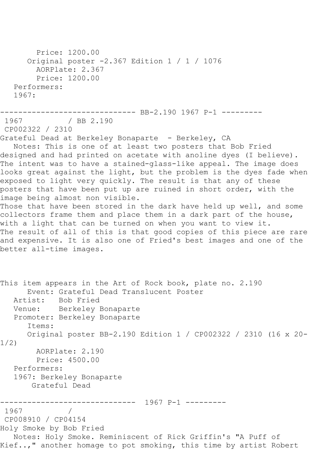Price: 1200.00 Original poster -2.367 Edition 1 / 1 / 1076 AORPlate: 2.367 Price: 1200.00 Performers: 1967: ---------------------------------- BB-2.190 1967 P-1 ----------<br>1967 / BB 2.190  $/$  BB 2.190 CP002322 / 2310 Grateful Dead at Berkeley Bonaparte - Berkeley, CA Notes: This is one of at least two posters that Bob Fried designed and had printed on acetate with anoline dyes (I believe). The intent was to have a stained-glass-like appeal. The image does looks great against the light, but the problem is the dyes fade when exposed to light very quickly. The result is that any of these posters that have been put up are ruined in short order, with the image being almost non visible. Those that have been stored in the dark have held up well, and some collectors frame them and place them in a dark part of the house, with a light that can be turned on when you want to view it. The result of all of this is that good copies of this piece are rare and expensive. It is also one of Fried's best images and one of the better all-time images. This item appears in the Art of Rock book, plate no. 2.190 Event: Grateful Dead Translucent Poster<br>Artist: Bob Fried Bob Fried Venue: Berkeley Bonaparte Promoter: Berkeley Bonaparte Items: Original poster BB-2.190 Edition 1 / CP002322 / 2310 (16 x 20- 1/2) AORPlate: 2.190 Price: 4500.00 Performers: 1967: Berkeley Bonaparte Grateful Dead ------------------------------ 1967 P-1 --------- 1967 / CP008910 / CP04154 Holy Smoke by Bob Fried Notes: Holy Smoke. Reminiscent of Rick Griffin's "A Puff of Kief..," another homage to pot smoking, this time by artist Robert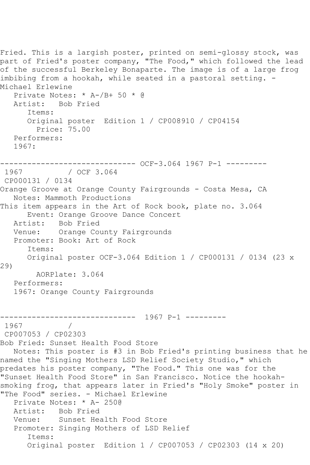```
Fried. This is a largish poster, printed on semi-glossy stock, was
part of Fried's poster company, "The Food," which followed the lead
of the successful Berkeley Bonaparte. The image is of a large frog 
imbibing from a hookah, while seated in a pastoral setting. -
Michael Erlewine
   Private Notes: * A-/B+ 50 * @
   Artist: Bob Fried
       Items:
       Original poster Edition 1 / CP008910 / CP04154
         Price: 75.00
   Performers:
   1967:
------------------------------ OCF-3.064 1967 P-1 ---------
              / OCF 3.064
CP000131 / 0134
Orange Groove at Orange County Fairgrounds - Costa Mesa, CA
   Notes: Mammoth Productions
This item appears in the Art of Rock book, plate no. 3.064
  Event: Orange Groove Dance Concert<br>Artist: Bob Fried
           Bob Fried
   Venue: Orange County Fairgrounds
   Promoter: Book: Art of Rock
       Items:
      Original poster OCF-3.064 Edition 1 / CP000131 / 0134 (23 x 
29)
        AORPlate: 3.064 
   Performers:
   1967: Orange County Fairgrounds
                 ------------------------------ 1967 P-1 ---------
1967 / 
CP007053 / CP02303
Bob Fried: Sunset Health Food Store
   Notes: This poster is #3 in Bob Fried's printing business that he 
named the "Singing Mothers LSD Relief Society Studio," which 
predates his poster company, "The Food." This one was for the
"Sunset Health Food Store" in San Francisco. Notice the hookah-
smoking frog, that appears later in Fried's "Holy Smoke" poster in 
"The Food" series. - Michael Erlewine
   Private Notes: * A- 250@
   Artist: Bob Fried
   Venue: Sunset Health Food Store
   Promoter: Singing Mothers of LSD Relief
       Items:
      Original poster Edition 1 / CP007053 / CP02303 (14 x 20)
```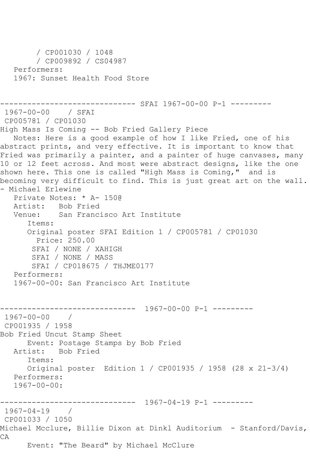```
 / CP001030 / 1048
         / CP009892 / CS04987
   Performers:
    1967: Sunset Health Food Store
------------------------------ SFAI 1967-00-00 P-1 ---------
1967-00-00 / SFAI 
CP005781 / CP01030
High Mass Is Coming -- Bob Fried Gallery Piece
   Notes: Here is a good example of how I like Fried, one of his 
abstract prints, and very effective. It is important to know that 
Fried was primarily a painter, and a painter of huge canvases, many 
10 or 12 feet across. And most were abstract designs, like the one
shown here. This one is called "High Mass is Coming," and is 
becoming very difficult to find. This is just great art on the wall. 
- Michael Erlewine
   Private Notes: * A- 150@
  Artist: Bob Fried<br>Venue: San Franci
            San Francisco Art Institute
       Items:
       Original poster SFAI Edition 1 / CP005781 / CP01030
        Price: 250.00
        SFAI / NONE / XAHIGH
        SFAI / NONE / MASS
        SFAI / CP018675 / THJME0177
   Performers:
    1967-00-00: San Francisco Art Institute
------------------------------ 1967-00-00 P-1 ---------
1967-00-00 / 
CP001935 / 1958
Bob Fried Uncut Stamp Sheet
       Event: Postage Stamps by Bob Fried
   Artist: Bob Fried
       Items:
       Original poster Edition 1 / CP001935 / 1958 (28 x 21-3/4)
   Performers:
   1967-00-00:------------------------------ 1967-04-19 P-1 ---------
1967-04-19 / 
CP001033 / 1050
Michael Mcclure, Billie Dixon at Dinkl Auditorium - Stanford/Davis, 
CA
       Event: "The Beard" by Michael McClure
```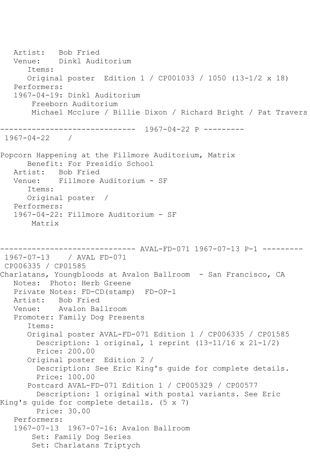Artist: Bob Fried Venue: Dinkl Auditorium Items: Original poster Edition 1 / CP001033 / 1050 (13-1/2 x 18) Performers: 1967-04-19: Dinkl Auditorium Freeborn Auditorium Michael Mcclure / Billie Dixon / Richard Bright / Pat Travers ------------------------------ 1967-04-22 P --------- 1967-04-22 / Popcorn Happening at the Fillmore Auditorium, Matrix Benefit: For Presidio School Artist: Bob Fried Venue: Fillmore Auditorium - SF Items: Original poster / Performers: 1967-04-22: Fillmore Auditorium - SF Matrix ------------------------------ AVAL-FD-071 1967-07-13 P-1 --------- 1967-07-13 / AVAL FD-071 CP006335 / CP01585 Charlatans, Youngbloods at Avalon Ballroom - San Francisco, CA Notes: Photo: Herb Greene Private Notes: FD-CD(stamp) FD-OP-1 Artist: Bob Fried Venue: Avalon Ballroom Promoter: Family Dog Presents Items: Original poster AVAL-FD-071 Edition 1 / CP006335 / CP01585 Description: 1 original, 1 reprint (13-11/16 x 21-1/2) Price: 200.00 Original poster Edition 2 / Description: See Eric King's guide for complete details. Price: 100.00 Postcard AVAL-FD-071 Edition 1 / CP005329 / CP00577 Description: 1 original with postal variants. See Eric King's guide for complete details. (5 x 7) Price: 30.00 Performers: 1967-07-13 1967-07-16: Avalon Ballroom Set: Family Dog Series Set: Charlatans Triptych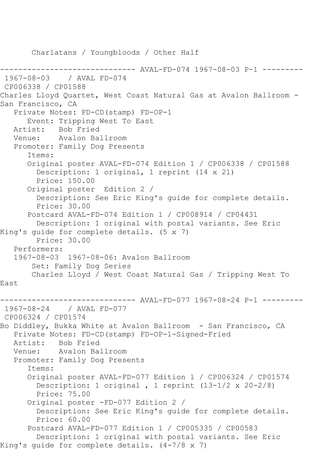Charlatans / Youngbloods / Other Half ------------------------------ AVAL-FD-074 1967-08-03 P-1 --------- 1967-08-03 / AVAL FD-074 CP006338 / CP01588 Charles Lloyd Quartet, West Coast Natural Gas at Avalon Ballroom - San Francisco, CA Private Notes: FD-CD(stamp) FD-OP-1 Event: Tripping West To East Artist: Bob Fried<br>Venue: Avalon Ba Avalon Ballroom Promoter: Family Dog Presents Items: Original poster AVAL-FD-074 Edition 1 / CP006338 / CP01588 Description: 1 original, 1 reprint (14 x 21) Price: 150.00 Original poster Edition 2 / Description: See Eric King's guide for complete details. Price: 30.00 Postcard AVAL-FD-074 Edition 1 / CP008914 / CP04431 Description: 1 original with postal variants. See Eric King's guide for complete details. (5 x 7) Price: 30.00 Performers: 1967-08-03 1967-08-06: Avalon Ballroom Set: Family Dog Series Charles Lloyd / West Coast Natural Gas / Tripping West To East ------------------------------ AVAL-FD-077 1967-08-24 P-1 --------- 1967-08-24 CP006324 / CP01574 Bo Diddley, Bukka White at Avalon Ballroom - San Francisco, CA Private Notes: FD-CD(stamp) FD-OP-1-Signed-Fried Artist: Bob Fried Venue: Avalon Ballroom Promoter: Family Dog Presents Items: Original poster AVAL-FD-077 Edition 1 / CP006324 / CP01574 Description: 1 original , 1 reprint (13-1/2 x 20-2/8) Price: 75.00 Original poster -FD-077 Edition 2 / Description: See Eric King's guide for complete details. Price: 60.00 Postcard AVAL-FD-077 Edition 1 / CP005335 / CP00583 Description: 1 original with postal variants. See Eric King's guide for complete details. (4-7/8 x 7)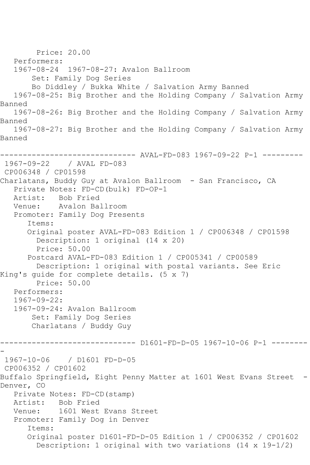Price: 20.00 Performers:<br>1967-08-24 1967-08-24 1967-08-27: Avalon Ballroom Set: Family Dog Series Bo Diddley / Bukka White / Salvation Army Banned 1967-08-25: Big Brother and the Holding Company / Salvation Army Banned 1967-08-26: Big Brother and the Holding Company / Salvation Army Banned 1967-08-27: Big Brother and the Holding Company / Salvation Army Banned ------------------------------ AVAL-FD-083 1967-09-22 P-1 --------- 1967-09-22 / AVAL FD-083 CP006348 / CP01598 Charlatans, Buddy Guy at Avalon Ballroom - San Francisco, CA Private Notes: FD-CD(bulk) FD-OP-1 Artist: Bob Fried Venue: Avalon Ballroom Promoter: Family Dog Presents Items: Original poster AVAL-FD-083 Edition 1 / CP006348 / CP01598 Description: 1 original (14 x 20) Price: 50.00 Postcard AVAL-FD-083 Edition 1 / CP005341 / CP00589 Description: 1 original with postal variants. See Eric King's guide for complete details. (5 x 7) Price: 50.00 Performers: 1967-09-22: 1967-09-24: Avalon Ballroom Set: Family Dog Series Charlatans / Buddy Guy ------------------------------ D1601-FD-D-05 1967-10-06 P-1 -------- - 1967-10-06 / D1601 FD-D-05 CP006352 / CP01602 Buffalo Springfield, Eight Penny Matter at 1601 West Evans Street - Denver, CO Private Notes: FD-CD(stamp) Artist: Bob Fried Venue: 1601 West Evans Street Promoter: Family Dog in Denver Items: Original poster D1601-FD-D-05 Edition 1 / CP006352 / CP01602 Description: 1 original with two variations (14 x 19-1/2)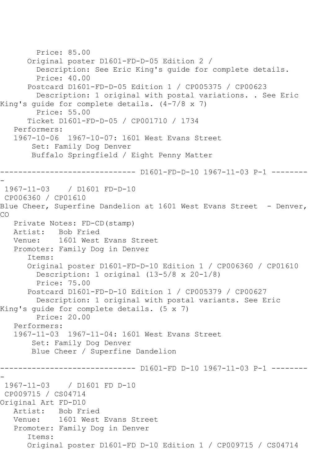```
 Price: 85.00
       Original poster D1601-FD-D-05 Edition 2 / 
         Description: See Eric King's guide for complete details.
         Price: 40.00
       Postcard D1601-FD-D-05 Edition 1 / CP005375 / CP00623
         Description: 1 original with postal variations. . See Eric 
King's guide for complete details. (4-7/8 x 7)
         Price: 55.00
       Ticket D1601-FD-D-05 / CP001710 / 1734
    Performers:
    1967-10-06 1967-10-07: 1601 West Evans Street
        Set: Family Dog Denver
        Buffalo Springfield / Eight Penny Matter
                  ------------------------------ D1601-FD-D-10 1967-11-03 P-1 --------
-
1967-11-03 / D1601 FD-D-10
CP006360 / CP01610
Blue Cheer, Superfine Dandelion at 1601 West Evans Street - Denver,
CO
    Private Notes: FD-CD(stamp)
   Artist: Bob Fried
   Venue: 1601 West Evans Street
    Promoter: Family Dog in Denver
       Items:
       Original poster D1601-FD-D-10 Edition 1 / CP006360 / CP01610
         Description: 1 original (13-5/8 x 20-1/8)
         Price: 75.00
       Postcard D1601-FD-D-10 Edition 1 / CP005379 / CP00627
         Description: 1 original with postal variants. See Eric 
King's guide for complete details. (5 x 7)
         Price: 20.00
    Performers:
    1967-11-03 1967-11-04: 1601 West Evans Street
        Set: Family Dog Denver
        Blue Cheer / Superfine Dandelion
                  ------------------------------ D1601-FD D-10 1967-11-03 P-1 --------
-
1967-11-03 / D1601 FD D-10
CP009715 / CS04714
Original Art FD-D10
   Artist: Bob Fried
   Venue: 1601 West Evans Street
   Promoter: Family Dog in Denver
       Items:
       Original poster D1601-FD D-10 Edition 1 / CP009715 / CS04714
```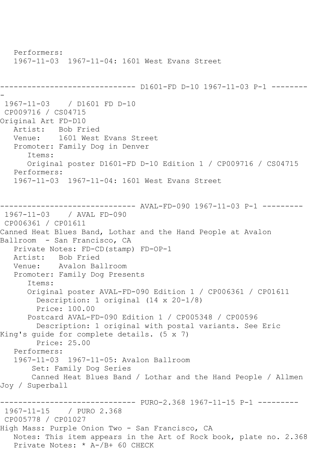Performers: 1967-11-03 1967-11-04: 1601 West Evans Street ------------------------------ D1601-FD D-10 1967-11-03 P-1 -------- - 1967-11-03 / D1601 FD D-10 CP009716 / CS04715 Original Art FD-D10 Artist: Bob Fried Venue: 1601 West Evans Street Promoter: Family Dog in Denver Items: Original poster D1601-FD D-10 Edition 1 / CP009716 / CS04715 Performers: 1967-11-03 1967-11-04: 1601 West Evans Street ------------------------------ AVAL-FD-090 1967-11-03 P-1 --------- 1967-11-03 / AVAL FD-090 CP006361 / CP01611 Canned Heat Blues Band, Lothar and the Hand People at Avalon Ballroom - San Francisco, CA Private Notes: FD-CD(stamp) FD-OP-1 Artist: Bob Fried<br>Venue: Avalon Bal Avalon Ballroom Promoter: Family Dog Presents Items: Original poster AVAL-FD-090 Edition 1 / CP006361 / CP01611 Description: 1 original (14 x 20-1/8) Price: 100.00 Postcard AVAL-FD-090 Edition 1 / CP005348 / CP00596 Description: 1 original with postal variants. See Eric King's guide for complete details. (5 x 7) Price: 25.00 Performers: 1967-11-03 1967-11-05: Avalon Ballroom Set: Family Dog Series Canned Heat Blues Band / Lothar and the Hand People / Allmen Joy / Superball ------------------------------ PURO-2.368 1967-11-15 P-1 --------- 1967-11-15 / PURO 2.368 CP005778 / CP01027 High Mass: Purple Onion Two - San Francisco, CA Notes: This item appears in the Art of Rock book, plate no. 2.368 Private Notes: \* A-/B+ 60 CHECK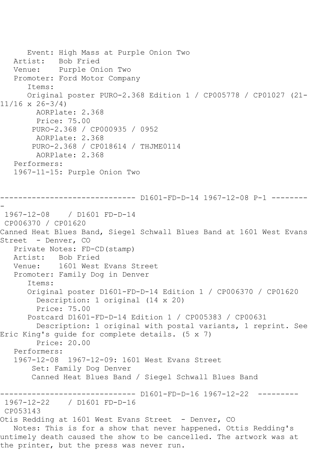Event: High Mass at Purple Onion Two Artist: Bob Fried Venue: Purple Onion Two Promoter: Ford Motor Company Items: Original poster PURO-2.368 Edition 1 / CP005778 / CP01027 (21- 11/16 x 26-3/4) AORPlate: 2.368 Price: 75.00 PURO-2.368 / CP000935 / 0952 AORPlate: 2.368 PURO-2.368 / CP018614 / THJME0114 AORPlate: 2.368 Performers: 1967-11-15: Purple Onion Two ------------------------------ D1601-FD-D-14 1967-12-08 P-1 -------- - 1967-12-08 / D1601 FD-D-14 CP006370 / CP01620 Canned Heat Blues Band, Siegel Schwall Blues Band at 1601 West Evans Street - Denver, CO Private Notes: FD-CD(stamp) Artist: Bob Fried<br>Venue: 1601 West 1601 West Evans Street Promoter: Family Dog in Denver Items: Original poster D1601-FD-D-14 Edition 1 / CP006370 / CP01620 Description: 1 original (14 x 20) Price: 75.00 Postcard D1601-FD-D-14 Edition 1 / CP005383 / CP00631 Description: 1 original with postal variants, 1 reprint. See Eric King's guide for complete details. (5 x 7) Price: 20.00 Performers: 1967-12-08 1967-12-09: 1601 West Evans Street Set: Family Dog Denver Canned Heat Blues Band / Siegel Schwall Blues Band ------------------------------ D1601-FD-D-16 1967-12-22 --------- 1967-12-22 / D1601 FD-D-16 CP053143 Otis Redding at 1601 West Evans Street - Denver, CO Notes: This is for a show that never happened. Ottis Redding's untimely death caused the show to be cancelled. The artwork was at the printer, but the press was never run.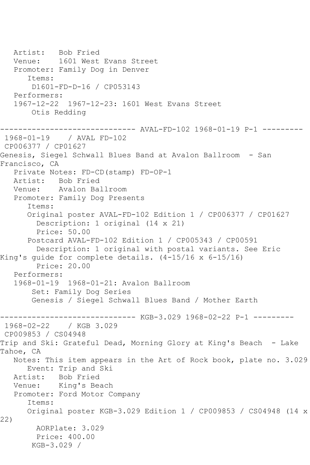Artist: Bob Fried Venue: 1601 West Evans Street Promoter: Family Dog in Denver Items: D1601-FD-D-16 / CP053143 Performers: 1967-12-22 1967-12-23: 1601 West Evans Street Otis Redding ------------------------------ AVAL-FD-102 1968-01-19 P-1 --------- 1968-01-19 / AVAL FD-102 CP006377 / CP01627 Genesis, Siegel Schwall Blues Band at Avalon Ballroom - San Francisco, CA Private Notes: FD-CD(stamp) FD-OP-1 Artist: Bob Fried Venue: Avalon Ballroom Promoter: Family Dog Presents Items: Original poster AVAL-FD-102 Edition 1 / CP006377 / CP01627 Description: 1 original (14 x 21) Price: 50.00 Postcard AVAL-FD-102 Edition 1 / CP005343 / CP00591 Description: 1 original with postal variants. See Eric King's guide for complete details. (4-15/16 x 6-15/16) Price: 20.00 Performers: 1968-01-19 1968-01-21: Avalon Ballroom Set: Family Dog Series Genesis / Siegel Schwall Blues Band / Mother Earth ------------------------------ KGB-3.029 1968-02-22 P-1 --------- 1968-02-22 / KGB 3.029 CP009853 / CS04948 Trip and Ski: Grateful Dead, Morning Glory at King's Beach - Lake Tahoe, CA Notes: This item appears in the Art of Rock book, plate no. 3.029 Event: Trip and Ski Artist: Bob Fried Venue: King's Beach Promoter: Ford Motor Company Items: Original poster KGB-3.029 Edition 1 / CP009853 / CS04948 (14 x 22) AORPlate: 3.029 Price: 400.00 KGB-3.029 /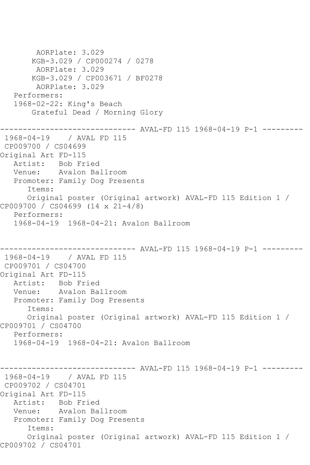```
 AORPlate: 3.029 
        KGB-3.029 / CP000274 / 0278
         AORPlate: 3.029 
        KGB-3.029 / CP003671 / BF0278
         AORPlate: 3.029 
    Performers:
    1968-02-22: King's Beach
        Grateful Dead / Morning Glory
                 ------------------------------ AVAL-FD 115 1968-04-19 P-1 ---------
1968-04-19 / AVAL FD 115
CP009700 / CS04699
Original Art FD-115
   Artist: Bob Fried
   Venue: Avalon Ballroom
   Promoter: Family Dog Presents
       Items:
      Original poster (Original artwork) AVAL-FD 115 Edition 1 / 
CP009700 / CS04699 (14 x 21-4/8)
   Performers:
    1968-04-19 1968-04-21: Avalon Ballroom
------------------------------ AVAL-FD 115 1968-04-19 P-1 ---------
1968-04-19 / AVAL FD 115
CP009701 / CS04700
Original Art FD-115
  Artist: Bob Fried<br>Venue: Avalon Ba
            Avalon Ballroom
   Promoter: Family Dog Presents
       Items:
       Original poster (Original artwork) AVAL-FD 115 Edition 1 / 
CP009701 / CS04700
   Performers:
    1968-04-19 1968-04-21: Avalon Ballroom
                     ---------- AVAL-FD 115 1968-04-19 P-1 ---------
1968-04-19 / AVAL FD 115
CP009702 / CS04701
Original Art FD-115
   Artist: Bob Fried
   Venue: Avalon Ballroom
   Promoter: Family Dog Presents
       Items:
       Original poster (Original artwork) AVAL-FD 115 Edition 1 / 
CP009702 / CS04701
```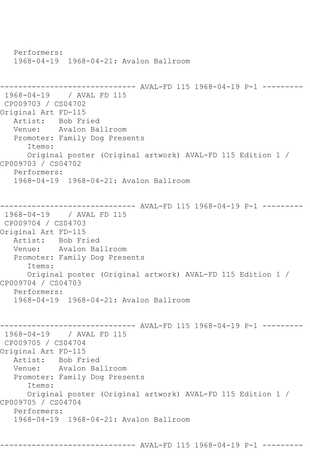Performers: 1968-04-19 1968-04-21: Avalon Ballroom ------------------------------ AVAL-FD 115 1968-04-19 P-1 --------- 1968-04-19 / AVAL FD 115 CP009703 / CS04702 Original Art FD-115 Artist: Bob Fried Venue: Avalon Ballroom Promoter: Family Dog Presents Items: Original poster (Original artwork) AVAL-FD 115 Edition 1 / CP009703 / CS04702 Performers: 1968-04-19 1968-04-21: Avalon Ballroom ------------------------------ AVAL-FD 115 1968-04-19 P-1 --------- 1968-04-19 / AVAL FD 115 CP009704 / CS04703 Original Art FD-115 Artist: Bob Fried Venue: Avalon Ballroom Promoter: Family Dog Presents Items: Original poster (Original artwork) AVAL-FD 115 Edition 1 / CP009704 / CS04703 Performers: 1968-04-19 1968-04-21: Avalon Ballroom ------------------------------ AVAL-FD 115 1968-04-19 P-1 --------- 1968-04-19 / AVAL FD 115 CP009705 / CS04704 Original Art FD-115 Artist: Bob Fried Venue: Avalon Ballroom Promoter: Family Dog Presents Items: Original poster (Original artwork) AVAL-FD 115 Edition 1 / CP009705 / CS04704 Performers: 1968-04-19 1968-04-21: Avalon Ballroom

------------------------------ AVAL-FD 115 1968-04-19 P-1 ---------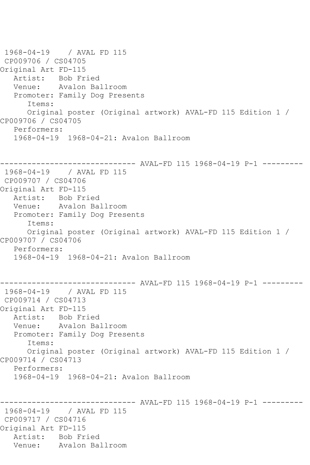1968-04-19 / AVAL FD 115 CP009706 / CS04705 Original Art FD-115 Artist: Bob Fried<br>Venue: Avalon Ba Avalon Ballroom Promoter: Family Dog Presents Items: Original poster (Original artwork) AVAL-FD 115 Edition 1 / CP009706 / CS04705 Performers: 1968-04-19 1968-04-21: Avalon Ballroom ------------------------------ AVAL-FD 115 1968-04-19 P-1 --------- 1968-04-19 / AVAL FD 115 CP009707 / CS04706 Original Art FD-115 Artist: Bob Fried Venue: Avalon Ballroom Promoter: Family Dog Presents Items: Original poster (Original artwork) AVAL-FD 115 Edition 1 / CP009707 / CS04706 Performers: 1968-04-19 1968-04-21: Avalon Ballroom ------------------------------ AVAL-FD 115 1968-04-19 P-1 --------- 1968-04-19 / AVAL FD 115 CP009714 / CS04713 Original Art FD-115 Artist: Bob Fried<br>Venue: Avalon Bal Avalon Ballroom Promoter: Family Dog Presents Items: Original poster (Original artwork) AVAL-FD 115 Edition 1 / CP009714 / CS04713 Performers: 1968-04-19 1968-04-21: Avalon Ballroom ------------------------------ AVAL-FD 115 1968-04-19 P-1 --------- 1968-04-19 / AVAL FD 115 CP009717 / CS04716 Original Art FD-115 Artist: Bob Fried<br>Venue: Avalon Ba Avalon Ballroom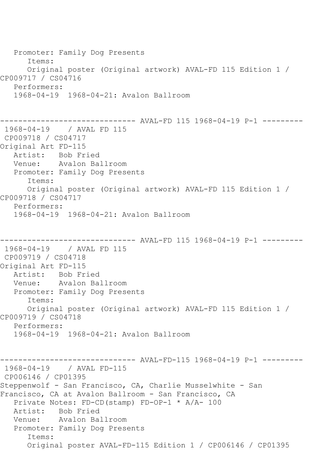Promoter: Family Dog Presents Items: Original poster (Original artwork) AVAL-FD 115 Edition 1 / CP009717 / CS04716 Performers: 1968-04-19 1968-04-21: Avalon Ballroom ----------- AVAL-FD 115 1968-04-19 P-1 ---------1968-04-19 / AVAL FD 115 CP009718 / CS04717 Original Art FD-115 Artist: Bob Fried Venue: Avalon Ballroom Promoter: Family Dog Presents Items: Original poster (Original artwork) AVAL-FD 115 Edition 1 / CP009718 / CS04717 Performers: 1968-04-19 1968-04-21: Avalon Ballroom ------------------------------ AVAL-FD 115 1968-04-19 P-1 --------- 1968-04-19 / AVAL FD 115 CP009719 / CS04718 Original Art FD-115 Artist: Bob Fried Venue: Avalon Ballroom Promoter: Family Dog Presents Items: Original poster (Original artwork) AVAL-FD 115 Edition 1 / CP009719 / CS04718 Performers: 1968-04-19 1968-04-21: Avalon Ballroom ------------------------------ AVAL-FD-115 1968-04-19 P-1 --------- 1968-04-19 / AVAL FD-115 CP006146 / CP01395 Steppenwolf - San Francisco, CA, Charlie Musselwhite - San Francisco, CA at Avalon Ballroom - San Francisco, CA Private Notes: FD-CD(stamp) FD-OP-1 \* A/A- 100 Artist: Bob Fried<br>Venue: Avalon Ba Avalon Ballroom Promoter: Family Dog Presents Items: Original poster AVAL-FD-115 Edition 1 / CP006146 / CP01395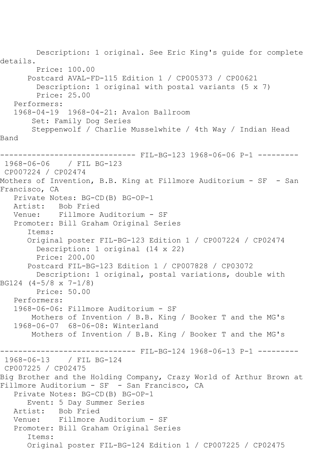Description: 1 original. See Eric King's guide for complete details. Price: 100.00 Postcard AVAL-FD-115 Edition 1 / CP005373 / CP00621 Description: 1 original with postal variants (5 x 7) Price: 25.00 Performers: 1968-04-19 1968-04-21: Avalon Ballroom Set: Family Dog Series Steppenwolf / Charlie Musselwhite / 4th Way / Indian Head Band ------------------------------ FIL-BG-123 1968-06-06 P-1 --------- 1968-06-06 / FIL BG-123 CP007224 / CP02474 Mothers of Invention, B.B. King at Fillmore Auditorium - SF - San Francisco, CA Private Notes: BG-CD(B) BG-OP-1 Artist: Bob Fried Venue: Fillmore Auditorium - SF Promoter: Bill Graham Original Series Items: Original poster FIL-BG-123 Edition 1 / CP007224 / CP02474 Description: 1 original (14 x 22) Price: 200.00 Postcard FIL-BG-123 Edition 1 / CP007828 / CP03072 Description: 1 original, postal variations, double with BG124 (4-5/8 x 7-1/8) Price: 50.00 Performers: 1968-06-06: Fillmore Auditorium - SF Mothers of Invention / B.B. King / Booker T and the MG's 1968-06-07 68-06-08: Winterland Mothers of Invention / B.B. King / Booker T and the MG's ------------------------------ FIL-BG-124 1968-06-13 P-1 --------- 1968-06-13 / FIL BG-124 CP007225 / CP02475 Big Brother and the Holding Company, Crazy World of Arthur Brown at Fillmore Auditorium - SF - San Francisco, CA Private Notes: BG-CD(B) BG-OP-1 Event: 5 Day Summer Series<br>Artist: Bob Fried Bob Fried Venue: Fillmore Auditorium - SF Promoter: Bill Graham Original Series Items: Original poster FIL-BG-124 Edition 1 / CP007225 / CP02475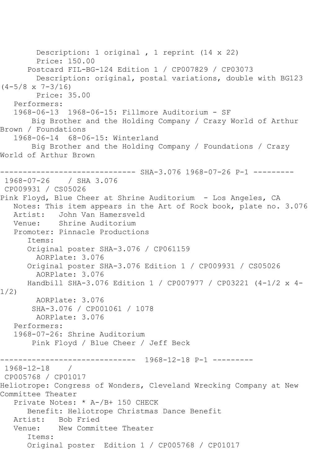Description: 1 original , 1 reprint (14 x 22) Price: 150.00 Postcard FIL-BG-124 Edition 1 / CP007829 / CP03073 Description: original, postal variations, double with BG123  $(4-5/8 \times 7-3/16)$  Price: 35.00 Performers: 1968-06-13 1968-06-15: Fillmore Auditorium - SF Big Brother and the Holding Company / Crazy World of Arthur Brown / Foundations 1968-06-14 68-06-15: Winterland Big Brother and the Holding Company / Foundations / Crazy World of Arthur Brown ------------- SHA-3.076 1968-07-26 P-1 ---------1968-07-26 / SHA 3.076 CP009931 / CS05026 Pink Floyd, Blue Cheer at Shrine Auditorium - Los Angeles, CA Notes: This item appears in the Art of Rock book, plate no. 3.076 Artist: John Van Hamersveld Venue: Shrine Auditorium Promoter: Pinnacle Productions Items: Original poster SHA-3.076 / CP061159 AORPlate: 3.076 Original poster SHA-3.076 Edition 1 / CP009931 / CS05026 AORPlate: 3.076 Handbill SHA-3.076 Edition 1 / CP007977 / CP03221 (4-1/2 x 4- 1/2) AORPlate: 3.076 SHA-3.076 / CP001061 / 1078 AORPlate: 3.076 Performers: 1968-07-26: Shrine Auditorium Pink Floyd / Blue Cheer / Jeff Beck ------------------------------ 1968-12-18 P-1 --------- 1968-12-18 / CP005768 / CP01017 Heliotrope: Congress of Wonders, Cleveland Wrecking Company at New Committee Theater Private Notes: \* A-/B+ 150 CHECK Benefit: Heliotrope Christmas Dance Benefit Artist: Bob Fried Venue: New Committee Theater Items: Original poster Edition 1 / CP005768 / CP01017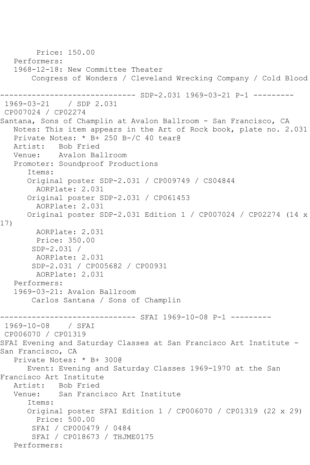Price: 150.00 Performers: 1968-12-18: New Committee Theater Congress of Wonders / Cleveland Wrecking Company / Cold Blood ---------- SDP-2.031 1969-03-21 P-1 ---------1969-03-21 / SDP 2.031 CP007024 / CP02274 Santana, Sons of Champlin at Avalon Ballroom - San Francisco, CA Notes: This item appears in the Art of Rock book, plate no. 2.031 Private Notes: \* B+ 250 B-/C 40 tear@ Artist: Bob Fried<br>Venue: Avalon Bal Avalon Ballroom Promoter: Soundproof Productions Items: Original poster SDP-2.031 / CP009749 / CS04844 AORPlate: 2.031 Original poster SDP-2.031 / CP061453 AORPlate: 2.031 Original poster SDP-2.031 Edition 1 / CP007024 / CP02274 (14 x 17) AORPlate: 2.031 Price: 350.00 SDP-2.031 / AORPlate: 2.031 SDP-2.031 / CP005682 / CP00931 AORPlate: 2.031 Performers: 1969-03-21: Avalon Ballroom Carlos Santana / Sons of Champlin -------------- SFAI 1969-10-08 P-1 ---------1969-10-08 / SFAI CP006070 / CP01319 SFAI Evening and Saturday Classes at San Francisco Art Institute - San Francisco, CA Private Notes: \* B+ 300@ Event: Evening and Saturday Classes 1969-1970 at the San Francisco Art Institute Artist: Bob Fried<br>Venue: San Franc: San Francisco Art Institute Items: Original poster SFAI Edition 1 / CP006070 / CP01319 (22 x 29) Price: 500.00 SFAI / CP000479 / 0484 SFAI / CP018673 / THJME0175 Performers: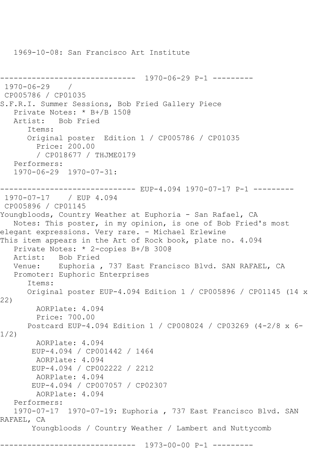1969-10-08: San Francisco Art Institute

```
------------------------------ 1970-06-29 P-1 ---------
1970 - 06 - 29CP005786 / CP01035
S.F.R.I. Summer Sessions, Bob Fried Gallery Piece
    Private Notes: * B+/B 150@
   Artist: Bob Fried
       Items:
       Original poster Edition 1 / CP005786 / CP01035
         Price: 200.00
         / CP018677 / THJME0179
   Performers:
    1970-06-29 1970-07-31:
------------------------------ EUP-4.094 1970-07-17 P-1 ---------
1970-07-17 / EUP 4.094
CP005896 / CP01145
Youngbloods, Country Weather at Euphoria - San Rafael, CA
   Notes: This poster, in my opinion, is one of Bob Fried's most 
elegant expressions. Very rare. - Michael Erlewine
This item appears in the Art of Rock book, plate no. 4.094
    Private Notes: * 2-copies B+/B 300@
  Artist: Bob Fried<br>Venue: Euphoria
            Euphoria , 737 East Francisco Blvd. SAN RAFAEL, CA
   Promoter: Euphoric Enterprises
       Items:
       Original poster EUP-4.094 Edition 1 / CP005896 / CP01145 (14 x 
22)
         AORPlate: 4.094 
         Price: 700.00
       Postcard EUP-4.094 Edition 1 / CP008024 / CP03269 (4-2/8 x 6-
1/2)
        AORPlate: 4.094 
        EUP-4.094 / CP001442 / 1464
        AORPlate: 4.094 
        EUP-4.094 / CP002222 / 2212
        AORPlate: 4.094 
        EUP-4.094 / CP007057 / CP02307
         AORPlate: 4.094 
   Performers:
    1970-07-17 1970-07-19: Euphoria , 737 East Francisco Blvd. SAN 
RAFAEL, CA
        Youngbloods / Country Weather / Lambert and Nuttycomb
             ------------------------------ 1973-00-00 P-1 ---------
```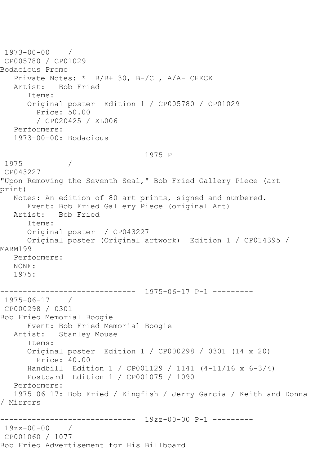```
1973-00-00 / 
CP005780 / CP01029
Bodacious Promo
   Private Notes: * B/B+ 30, B-/C , A/A- CHECK
   Artist: Bob Fried
       Items:
      Original poster Edition 1 / CP005780 / CP01029
         Price: 50.00
         / CP020425 / XL006
   Performers:
   1973-00-00: Bodacious
       ------------------------------ 1975 P ---------
1975 / 
CP043227
"Upon Removing the Seventh Seal," Bob Fried Gallery Piece (art 
print)
   Notes: An edition of 80 art prints, signed and numbered.
      Event: Bob Fried Gallery Piece (original Art)
   Artist: Bob Fried
       Items:
      Original poster / CP043227
      Original poster (Original artwork) Edition 1 / CP014395 / 
MARM199
   Performers:
   NONE:
   1975:
              ------------------------------ 1975-06-17 P-1 ---------
1975-06-17 / 
CP000298 / 0301
Bob Fried Memorial Boogie
      Event: Bob Fried Memorial Boogie
   Artist: Stanley Mouse
       Items:
       Original poster Edition 1 / CP000298 / 0301 (14 x 20)
         Price: 40.00
      Handbill Edition 1 / CP001129 / 1141 (4-11/16 x 6-3/4)
      Postcard Edition 1 / CP001075 / 1090
   Performers:
   1975-06-17: Bob Fried / Kingfish / Jerry Garcia / Keith and Donna 
/ Mirrors
           ------------------------------ 19zz-00-00 P-1 ---------
19zz-00-00 / 
CP001060 / 1077
Bob Fried Advertisement for His Billboard
```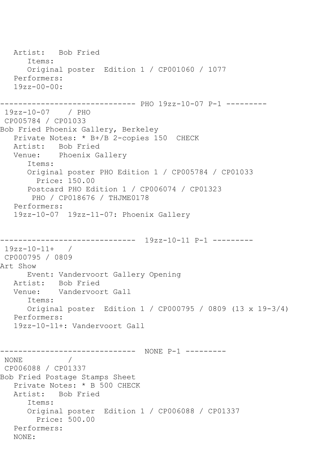```
 Artist: Bob Fried
       Items:
       Original poster Edition 1 / CP001060 / 1077
    Performers:
   19zz - 00 - 00------------------------------ PHO 19zz-10-07 P-1 ---------
19zz-10-07 / PHO 
CP005784 / CP01033
Bob Fried Phoenix Gallery, Berkeley
    Private Notes: * B+/B 2-copies 150 CHECK
  Artist: Bob Fried<br>Venue: Phoenix G
            Phoenix Gallery
       Items:
       Original poster PHO Edition 1 / CP005784 / CP01033
         Price: 150.00
       Postcard PHO Edition 1 / CP006074 / CP01323
        PHO / CP018676 / THJME0178
    Performers:
    19zz-10-07 19zz-11-07: Phoenix Gallery
            ------------------------------ 19zz-10-11 P-1 ---------
19zz-10-11+ / 
CP000795 / 0809
Art Show
       Event: Vandervoort Gallery Opening
   Artist: Bob Fried
   Venue: Vandervoort Gall
       Items:
      Original poster Edition 1 / CP000795 / 0809 (13 x 19-3/4)
   Performers:
    19zz-10-11+: Vandervoort Gall
------------------------------ NONE P-1 ---------
NONE / 
CP006088 / CP01337
Bob Fried Postage Stamps Sheet
   Private Notes: * B 500 CHECK
   Artist: Bob Fried
       Items:
       Original poster Edition 1 / CP006088 / CP01337
         Price: 500.00
    Performers:
    NONE:
```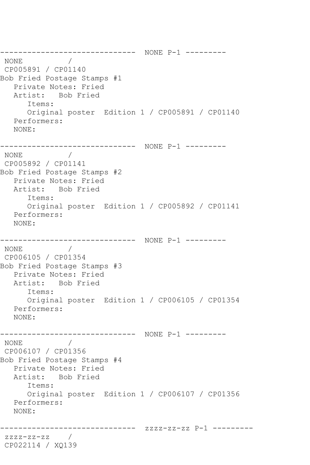------------------------------ NONE P-1 --------- NONE / CP005891 / CP01140 Bob Fried Postage Stamps #1 Private Notes: Fried Artist: Bob Fried Items: Original poster Edition 1 / CP005891 / CP01140 Performers: NONE: ------------------------------ NONE P-1 --------- NONE / CP005892 / CP01141 Bob Fried Postage Stamps #2 Private Notes: Fried Artist: Bob Fried Items: Original poster Edition 1 / CP005892 / CP01141 Performers: NONE: ------------------------------ NONE P-1 ---------  $\rm \,NONE$ CP006105 / CP01354 Bob Fried Postage Stamps #3 Private Notes: Fried Artist: Bob Fried Items: Original poster Edition 1 / CP006105 / CP01354 Performers: NONE: ------------------------------ NONE P-1 --------- NONE / CP006107 / CP01356 Bob Fried Postage Stamps #4 Private Notes: Fried Artist: Bob Fried Items: Original poster Edition 1 / CP006107 / CP01356 Performers: NONE: ------------------------------ zzzz-zz-zz P-1 -------- zzzz-zz-zz / CP022114 / XQ139